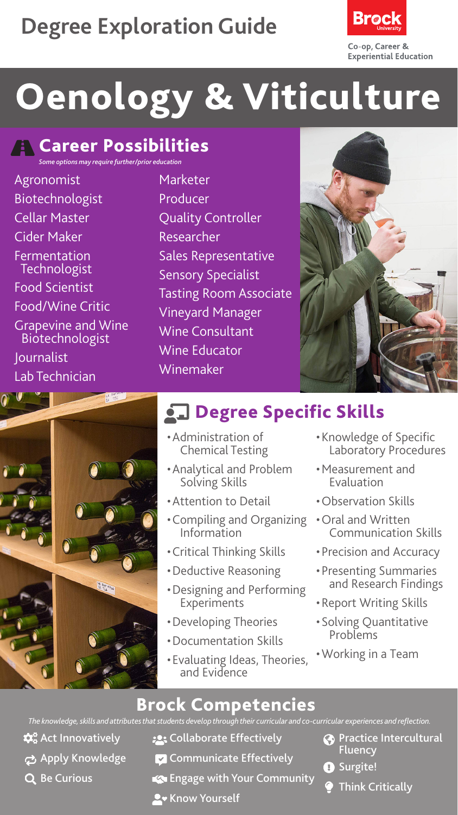# **Degree Exploration Guide**



# Oenology & Viticulture

#### **R** Career Possibilities *Some options may require further/prior education*

Agronomist **Biotechnologist** Cellar Master Cider Maker Fermentation **Technologist** Food Scientist Food/Wine Critic Grapevine and Wine Biotechnologist Journalist Lab Technician



Marketer Producer Quality Controller Researcher Sales Representative Sensory Specialist Tasting Room Associate Vineyard Manager Wine Consultant Wine Educator Winemaker



## **chalace Specific Skills**

- •Administration of Chemical Testing
- •Analytical and Problem Solving Skills
- •Attention to Detail
- •Compiling and Organizing Information
- •Critical Thinking Skills
- •Deductive Reasoning
- •Designing and Performing Experiments
- •Developing Theories
- •Documentation Skills
- •Evaluating Ideas, Theories, and Evidence
- •Knowledge of Specific Laboratory Procedures
- •Measurement and Evaluation
- •Observation Skills
- •Oral and Written Communication Skills
- •Precision and Accuracy
- •Presenting Summaries and Research Findings
- •Report Writing Skills
- •Solving Quantitative Problems
- •Working in a Team

#### Brock Competencies

*The knowledge, skills and attributes that students develop through their curricular and co-curricular experiences and reflection.*

- $\mathbf{\hat{\alpha}}^{\circ}_{\mathbf{o}}$  Act Innovatively
- ch Apply Knowledge
- Q Be Curious
- **:** Collaborate Effectively
- **Communicate Effectively**
- Engage with Your Community
- **A** Know Yourself
- **Practice Intercultural** Fluency
- **O** Surgite!
	- Think Critically